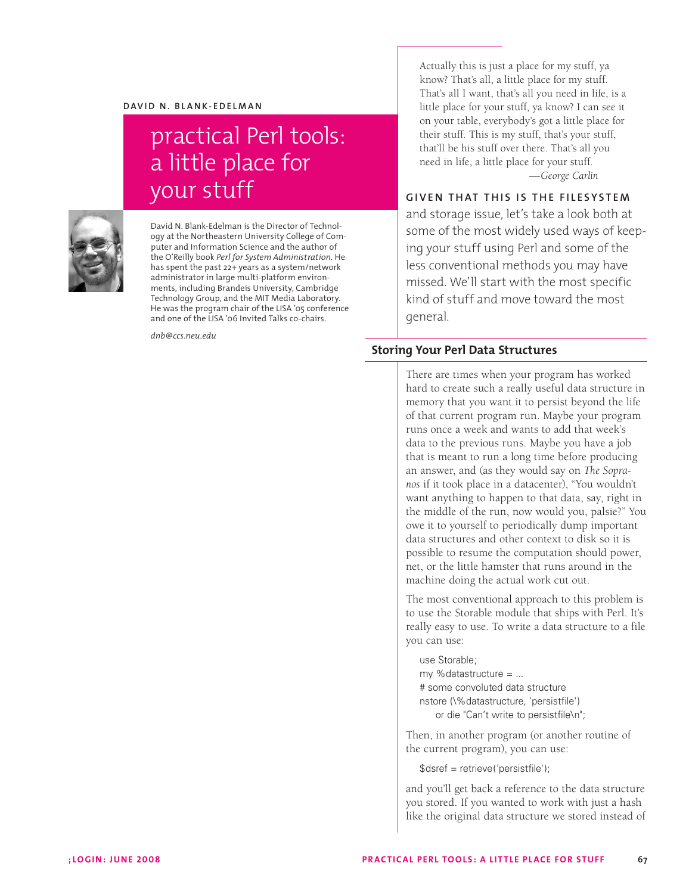#### **DAVID N . B L ANK- EDE L MAN**

# practical Perl tools: a little place for your stuff



David N. Blank-Edelman is the Director of Technology at the Northeastern University College of Computer and Information Science and the author of the O'Reilly book *Perl for System Administration*. He has spent the past 22+ years as a system/network administrator in large multi-platform environments, including Brandeis University, Cambridge Technology Group, and the MIT Media Laboratory. He was the program chair of the LISA '05 conference and one of the LISA '06 Invited Talks co-chairs.

*dnb@ccs.neu.edu*

Actually this is just a place for my stuff, ya know? That's all, a little place for my stuff. That's all I want, that's all you need in life, is a little place for your stuff, ya know? I can see it on your table, everybody's got a little place for their stuff. This is my stuff, that's your stuff, that'll be his stuff over there. That's all you need in life, a little place for your stuff.  *—George Carlin*

## **GIVEN THAT THIS IS THE FILESYSTEM**

and storage issue, let's take a look both at some of the most widely used ways of keeping your stuff using Perl and some of the less conventional methods you may have missed. We'll start with the most specific kind of stuff and move toward the most general.

## **Storing Your Perl Data Structures**

There are times when your program has worked hard to create such a really useful data structure in memory that you want it to persist beyond the life of that current program run. Maybe your program runs once a week and wants to add that week's data to the previous runs. Maybe you have a job that is meant to run a long time before producing an answer, and (as they would say on *The Sopranos* if it took place in a datacenter), "You wouldn't want anything to happen to that data, say, right in the middle of the run, now would you, palsie?" You owe it to yourself to periodically dump important data structures and other context to disk so it is possible to resume the computation should power, net, or the little hamster that runs around in the machine doing the actual work cut out.

The most conventional approach to this problem is to use the Storable module that ships with Perl. It's really easy to use. To write a data structure to a file you can use:

use Storable; my %datastructure = ... # some convoluted data structure nstore (\%datastructure, 'persistfile') or die "Can't write to persistfile\n";

Then, in another program (or another routine of the current program), you can use:

\$dsref = retrieve('persistfile');

and you'll get back a reference to the data structure you stored. If you wanted to work with just a hash like the original data structure we stored instead of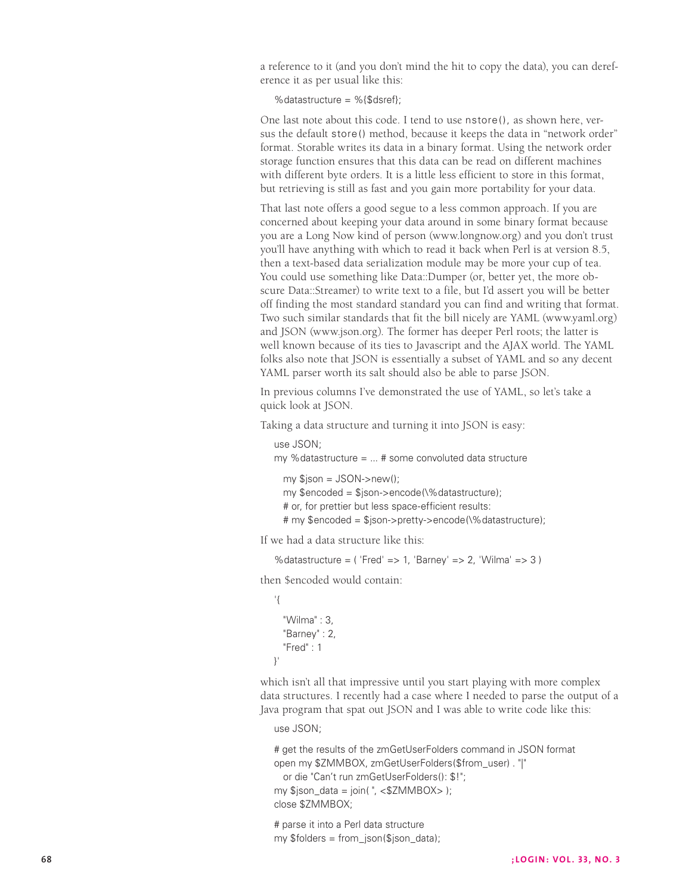a reference to it (and you don't mind the hit to copy the data), you can dereference it as per usual like this:

%datastructure = % $\{\$dsref\};$ 

One last note about this code. I tend to use nstore(), as shown here, versus the default store() method, because it keeps the data in "network order" format. Storable writes its data in a binary format. Using the network order storage function ensures that this data can be read on different machines with different byte orders. It is a little less efficient to store in this format, but retrieving is still as fast and you gain more portability for your data.

That last note offers a good segue to a less common approach. If you are concerned about keeping your data around in some binary format because you are a Long Now kind of person (www.longnow.org) and you don't trust you'll have anything with which to read it back when Perl is at version 8.5, then a text-based data serialization module may be more your cup of tea. You could use something like Data::Dumper (or, better yet, the more obscure Data::Streamer) to write text to a file, but I'd assert you will be better off finding the most standard standard you can find and writing that format. Two such similar standards that fit the bill nicely are YAML (www.yaml.org) and JSON (www.json.org). The former has deeper Perl roots; the latter is well known because of its ties to Javascript and the AJAX world. The YAML folks also note that JSON is essentially a subset of YAML and so any decent YAML parser worth its salt should also be able to parse JSON.

In previous columns I've demonstrated the use of YAML, so let's take a quick look at JSON.

Taking a data structure and turning it into JSON is easy:

```
use JSON;
my %datastructure = ... # some convoluted data structure
 my $json = JSON->new();
 my $encoded = $json->encode(\%datastructure);
 # or, for prettier but less space-efficient results:
 # my $encoded = $json->pretty->encode(\%datastructure);
```
If we had a data structure like this:

%datastructure =  $('Fred' => 1, 'Barney' => 2, 'Wilma' => 3)$ 

then \$encoded would contain:

```
'{
  "Wilma" : 3,
  "Barney" : 2,
  "Fred" : 1
}'
```
which isn't all that impressive until you start playing with more complex data structures. I recently had a case where I needed to parse the output of a Java program that spat out JSON and I was able to write code like this:

use JSON;

# get the results of the zmGetUserFolders command in JSON format open my \$ZMMBOX, zmGetUserFolders(\$from\_user) . "|" or die "Can't run zmGetUserFolders(): \$!"; my  $$ison data = join('', < $ZMMBOX>)$ ; close \$ZMMBOX;

# parse it into a Perl data structure my  $$folds = from$  json( $$json$  data);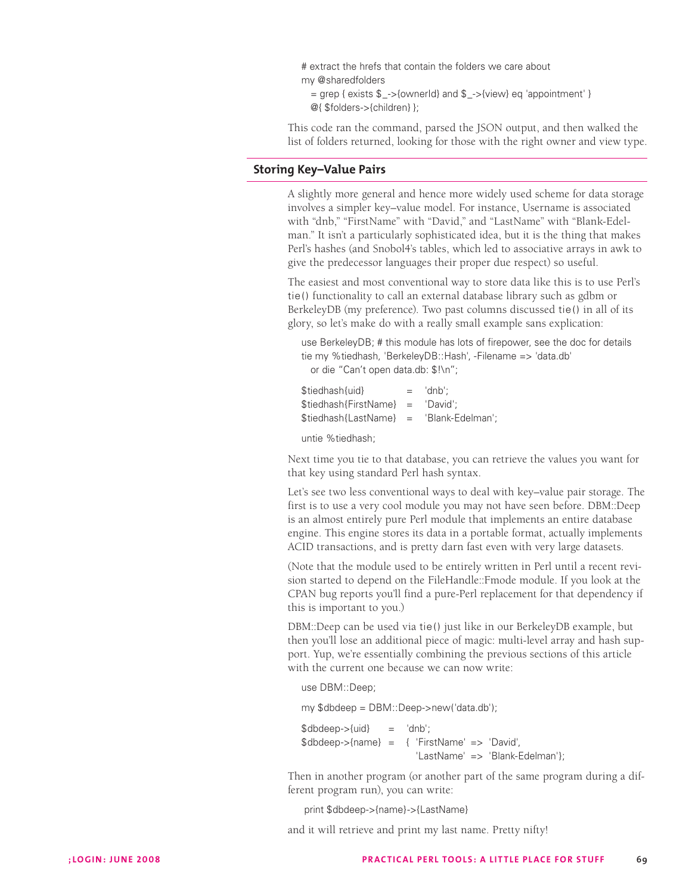# extract the hrefs that contain the folders we care about my @sharedfolders

 $=$  grep { exists  $\frac{1}{2}$  ->{ownerId} and  $\frac{1}{2}$  ->{view} eq 'appointment' } @{ \$folders->{children} };

This code ran the command, parsed the JSON output, and then walked the list of folders returned, looking for those with the right owner and view type.

#### **Storing Key–Value Pairs**

A slightly more general and hence more widely used scheme for data storage involves a simpler key–value model. For instance, Username is associated with "dnb," "FirstName" with "David," and "LastName" with "Blank-Edelman." It isn't a particularly sophisticated idea, but it is the thing that makes Perl's hashes (and Snobol4's tables, which led to associative arrays in awk to give the predecessor languages their proper due respect) so useful.

The easiest and most conventional way to store data like this is to use Perl's tie() functionality to call an external database library such as gdbm or BerkeleyDB (my preference). Two past columns discussed tie() in all of its glory, so let's make do with a really small example sans explication:

use BerkeleyDB; # this module has lots of firepower, see the doc for details tie my %tiedhash, 'BerkeleyDB::Hash', -Filename => 'data.db' or die "Can't open data.db: \$!\n";

| $=$                     | $'dhb'$ :        |
|-------------------------|------------------|
| \$tiedhash{FirstName} = | 'David':         |
| \$tiedhash{LastName} =  | 'Blank-Edelman'; |
|                         |                  |

untie %tiedhash;

Next time you tie to that database, you can retrieve the values you want for that key using standard Perl hash syntax.

Let's see two less conventional ways to deal with key–value pair storage. The first is to use a very cool module you may not have seen before. DBM::Deep is an almost entirely pure Perl module that implements an entire database engine. This engine stores its data in a portable format, actually implements ACID transactions, and is pretty darn fast even with very large datasets.

(Note that the module used to be entirely written in Perl until a recent revision started to depend on the FileHandle::Fmode module. If you look at the CPAN bug reports you'll find a pure-Perl replacement for that dependency if this is important to you.)

DBM::Deep can be used via tie() just like in our BerkeleyDB example, but then you'll lose an additional piece of magic: multi-level array and hash support. Yup, we're essentially combining the previous sections of this article with the current one because we can now write:

use DBM::Deep;

my \$dbdeep = DBM::Deep->new('data.db');

\$dbdeep->{uid} = 'dnb'; \$dbdeep->{name} = { 'FirstName' => 'David', 'LastName' => 'Blank-Edelman'};

Then in another program (or another part of the same program during a different program run), you can write:

print \$dbdeep->{name}->{LastName}

and it will retrieve and print my last name. Pretty nifty!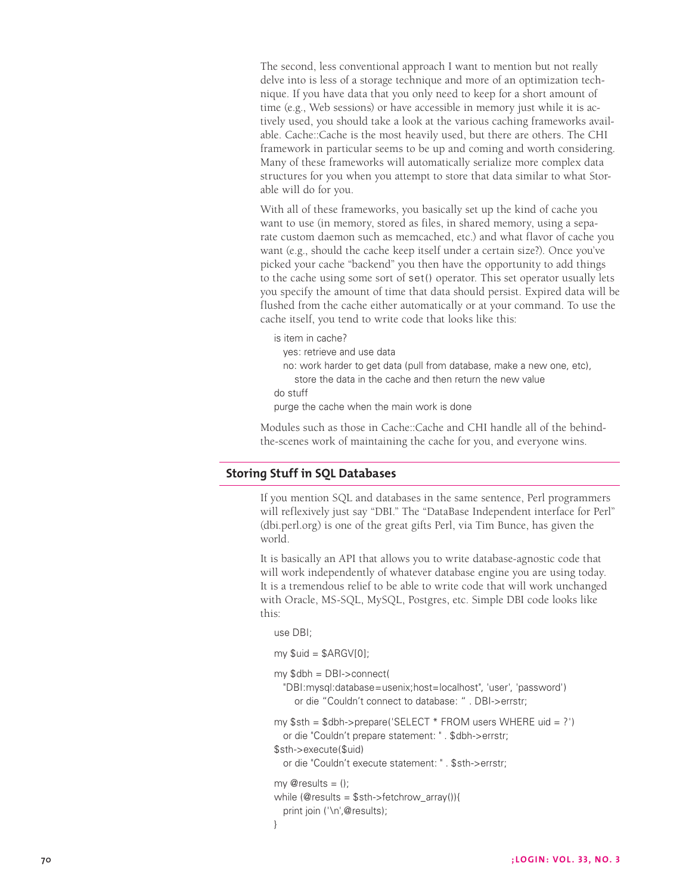The second, less conventional approach I want to mention but not really delve into is less of a storage technique and more of an optimization technique. If you have data that you only need to keep for a short amount of time (e.g., Web sessions) or have accessible in memory just while it is actively used, you should take a look at the various caching frameworks available. Cache::Cache is the most heavily used, but there are others. The CHI framework in particular seems to be up and coming and worth considering. Many of these frameworks will automatically serialize more complex data structures for you when you attempt to store that data similar to what Storable will do for you.

With all of these frameworks, you basically set up the kind of cache you want to use (in memory, stored as files, in shared memory, using a separate custom daemon such as memcached, etc.) and what flavor of cache you want (e.g., should the cache keep itself under a certain size?). Once you've picked your cache "backend" you then have the opportunity to add things to the cache using some sort of set() operator. This set operator usually lets you specify the amount of time that data should persist. Expired data will be flushed from the cache either automatically or at your command. To use the cache itself, you tend to write code that looks like this:

## is item in cache?

yes: retrieve and use data no: work harder to get data (pull from database, make a new one, etc), store the data in the cache and then return the new value do stuff purge the cache when the main work is done

Modules such as those in Cache::Cache and CHI handle all of the behindthe-scenes work of maintaining the cache for you, and everyone wins.

### **Storing Stuff in SQL Databases**

If you mention SQL and databases in the same sentence, Perl programmers will reflexively just say "DBI." The "DataBase Independent interface for Perl" (dbi.perl.org) is one of the great gifts Perl, via Tim Bunce, has given the world.

It is basically an API that allows you to write database-agnostic code that will work independently of whatever database engine you are using today. It is a tremendous relief to be able to write code that will work unchanged with Oracle, MS-SQL, MySQL, Postgres, etc. Simple DBI code looks like this:

```
use DBI;
```
my  $\text{Suid} = \text{SARGV[0]}$ ;

```
my $dbh = DBI->connect(
```
"DBI:mysql:database=usenix;host=localhost", 'user', 'password') or die "Couldn't connect to database: " . DBI->errstr;

my \$sth = \$dbh->prepare('SELECT \* FROM users WHERE uid = ?') or die "Couldn't prepare statement: " . \$dbh->errstr;

\$sth->execute(\$uid)

or die "Couldn't execute statement: " . \$sth->errstr;

my @results  $=$  ();

while (@results =  $$sth$ ->fetchrow\_array()){

print join ('\n',@results);